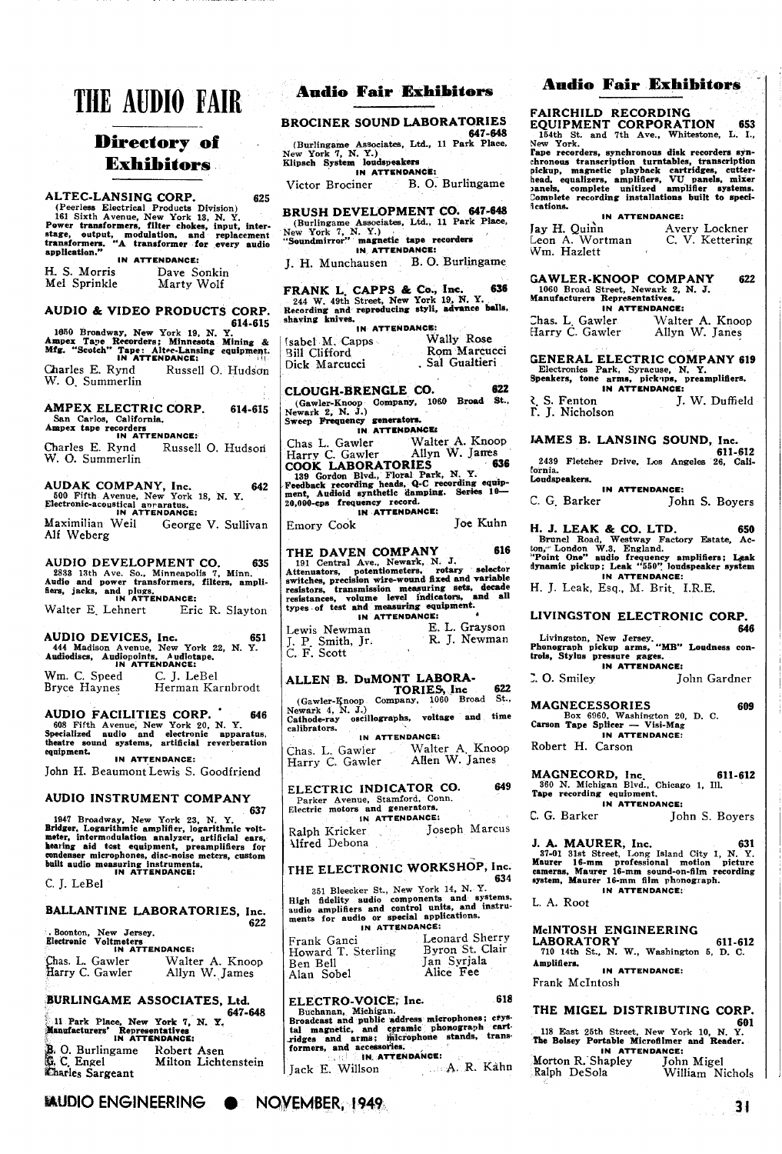# **THE AUDIO FAIR**

## **Directory of** . **Exhibitors**

ALTEC-LANSING CORP. 625<br>
(Peerless Electrical Products Division)<br>
161 Sixth Avenue, New York 13, N. Y.<br>
Power transformers, filter chokes, input, inter-<br>
stage, output, modulation, and replacement<br>
transformers. "A transfo

| H. S. Morris | Dave Sonkin |
|--------------|-------------|
| Mel Sprinkle | Marty Wolf  |

AUDIO & VIDEO PRODUCTS CORP.

**614-615**<br> **leBO** Broadway, New York 19, N. Y.<br> **Ampex Tape Recorders: Minnesota Mining &<br>
<b>Mfg.** "Scotch" Tape: Altec-Lansing equipment.<br> **IN ATTENDANCE:** Charles E. Rynd Russell *0.* Hudson W. 0. Summerlin

AMPEX ELECTRIC CORP. **614-615**  San Carlos. California. Ampex tape recorders **IN ATTENDANCE:** 

Charles E. Rynd Russell 0. Hudsori W. **0.** Summerlin

AUDAK COMPANY, Inc. **642**  500 Fifth Avenue, New York 18, N. Y, Electronic-acousti **I I** 

Alf Weberg

AUDIO DEVELOPMENT CO. **635**  28S3 13th Ave. So., Minneapolis 7, Minn. Audio and power transformers, filters, ampli fiers, jacks, and plugs.<br> **IN ATTENDANCE:**<br>
Walter E. Lehnert Eric Eric R. Slayton

AUDIO DEVICES, Inc. **651**  444 Madison Avenue. New York 22, N. Y. Andiodiscs, Audiopoints. Audiotape. **IN ATTENDANCE:**  Wm. C. Speed C. J. LeBel<br>Bryce Haynes Herman Ka Herman Karnbrodt

AUDIO FACILITIES CORP. ' **<sup>646</sup>** 608 Fifth Avenue, New York 20, N. Y. Specialized audio and electronic apparatus, theatre sound systems, artificial reverberation eauipment. **IN ATTENDANCE:** 

John H. Beaumont Lewis S. Goodfriend

# AUDIO INSTRUMENT COMPANY

537<br>
1947 Broadway, New York 23, N. Y.<br>
Bridger, Logarithmic amplifier, logarithmic volt-<br>
meter, intermodulation analyzer, artificial ears,<br>
hearing aid test equipment, preamplifiers for<br>
bearing aid test equipment, pream

C. J. LeBel

## BALLANTINE LABORATORIES, Inc.

**<sup>622</sup>**. Boonton. New Jersey. Electronic Voltmeters **IN ATTENDANCE:**  has. L. Gawler & Walter **A.** Knoop arry C. Gawler Allyn W. James

#### BURLINGAME ASSOCIATES. Ltd.

**647-648**<br> **11 Park Place. New York 7, N. Y.**<br> **Machinese Brand Brand Brand Brand Brand Brand Brand Brand Brand Brand Brand Brand Brand Brand Brand Brand Brand**<br> **IN ATTENDANCE:** 

**h** 0. Burlingame Robert Asen<br>**h** C Engel **Milton** Licht **Milton Lichtenstein** Kharles Sargeant

### **Andio Fair Exhibitors**

BROCINER SOUND LABORATORIES **647-648** 

(Burlingame Associates, Ltd., 11 Park Place, New York 7, N. Y.)<br>Klipsch System loudspeakers

**IN ATTENDANCE:** 

Victor Brociner B. O. Burlingame

BRUSH DEVELOPMENT CO. **647-648**  (Burlingame Associates, Ltd., 11 Park Plate Work 7, N. Y.)<br>New York 7, N. Y.)<br>"Soundmirror" magnetic tape recorders<br>**IN ATTENDANCE:** 

J. H. Munchausen B. **0.** Burlingame

FRANK L. CAPPS & Co., Inc. 636<br>
244 W. 49th Street. New York 19, N. Y.<br>
Recording and reproducing styli, advance balls,<br>
shaving knives.<br>
IN ATTENDANCE:

| IN AITENUMVUL        |                 |  |
|----------------------|-----------------|--|
| (sabel M. Capps      | Wally Rose      |  |
| <b>Bill Clifford</b> | Rom Marcucci    |  |
| Dick Marcucci        | . Sal Gualtieri |  |

CLOUGH-BRENGLE CO. **622**  (Gawler-Knoop Company. 1060 Broad **st.,** Newark 2. N. J.) Sweep Frequency generators.<br>IN ATTENDANCE: Chas L. Gawler Walter A. Knoop<br>Harry C. Gawler Allyn W. Janes **COOK LABORATORIES 636**<br>
139 Gordon Blvd., Floral Park, N. Y.<br>
Feedback recording heads, Q-C recording equip-<br>
ment, Audioid synthetic damping. Series 10-20,000-cps frequency record. **IN ATTENDANCE:** 

Emory Cook Joe Kuhn

THE DAVEN COMPANY 615<br>
191 Central Ave., Newark, N. J.<br>
Attenuators, potentioneters, rotary selector<br>
switches, precision wire-wound fixed and variable<br>
resistence, transmission measuring sets, decade<br>
resistances, volume Lewis Newman E. L. Grayson J. P. Smith, Jr. R. J. Newman C. F. Scott

ALLEN B. DuMONT LABORA-TORIES,Inc **622**  (Gawler-gnoop Company, 1060 Broad St.. Newark 4, N. J.)<br>Cathode-ray oscillographs, voltage and time I **IN ATTENDANCE:** 

Chas. L. Gawler Walter A. Knoop Harry C. Gawler Alien W. Janes

ELECTRIC INDICATOR CO. 649 Parker Avenue, Stamford, Conn.<br>Electric motors and generators.<br>**IN ATTENDANCE:** 

Ralph Kricker Joseph Marcus **Alfred** Debona

# THE ELECTRONIC WORKSHOP, Inc.

351 Bleecker St., New York 14, N. Y. High fidelity audio components and systems,<br>audio amplifiers and control units, and instru-<br>ments for audio or special applications.<br>**IN ATTENDANCE:** 

Frank Ganci Leonard Sherry<br>Howard T. Sterling Byron St. Clair<br>Ben Bell Jan Syrjala Alan Sobel Alice Fee

Buchanan, Michigan.<br>
Broadcast and public address microphones; crys-<br>
tal magnetic, and ceramic phonograph cart-<br>
ridges and arms; microphone stands, trans-<br>
formers, and accessories.<br>  $\frac{1}{2}$ : it is a accessories.<br>
Jack

#### **Andio Fair Exhibitors**

FAIRCHILD RECORDING

EQUIPMENT CORPORATION **653**  164th St. and 7th Ave.. Whitestone, L. I.. **New** York.

Tape recorders, synchronous disk recorders synchronous transcription turntables, transcription included picking included, equalizers, amplifiers, VU panels, mixer head, equalizers, amplifiers, VU panels, mixer and Complete fications.

**IN ATTENDANCE:** 

Avery Lockner<br>C. V. Kettering Jay H. Quinn<br>Leon A. Wortman Wm. Hazlett

GAWLER-KNOOP COMPANY **622**  1060 Broad Street, Newark 2, N. J. Manufacturers Representatives.

**IN ATTENDANCE:**<br>wler Walter A. Knoop Zhas. L. Gawler Walter A. Knoop Harry C. Gawler Allyn W. Janes

GENERAL ELECTRIC COMPANY **619**  Electronics Park, Syracuse. N. Y. Speakers, tone arms, pirk\*ips, preamplifiers. **IN ATTENDANCE:** 

**t.** S. Fenton J. W. Duffield r. J. Nicholson

JAMES B. LANSING SOUND, Inc.

**611-612**  2439 Fletcher Drive, Los Angeles 26, California. Loudspeakers.

**IN ATTENDANCE:**<br> **C.** G. Barker Joh

John S. Boyers

H. J. LEAK & CO. LTD. 650<br>
Brunel Road, Westway Factory Estate, Ac-<br>
ton, London W.3. England.<br>
"Point One" audio frequency amplifiers; Leak<br>
dynamic pickup; Leak "550" loudspeaker system **IN ATTENDANCE:** 

H. J. Leak, Esq., M. Brit. I.R.E.

#### LIVINGSTON ELECTRONIC CORP.

**646**  Livingston, New Jersey.<br>Phonograph pickup arms, "MB" Loudness con-<br>trols, Stylus pressure gages.<br>**IN ATTENDANCE:** 

:. **0.** Smiley John Gardner

MAGNECESSORIES **609**  Box 6960. Washington 20, D. C. **MAGNECESSORIES**<br>
Box 6960, Washington 20,<br> **Carson Tape Splicer --- Visi-Mag**<br> **IN ATTENDANCE:** 

Robert H. Carson

MAGNECORD, Inc. **611-612**  360 N. Michigan Blvd.. Chicago **1.** Ill. Tape recording equipment. **IN ATTENDANCE:** 

C. G. Barker John S. Boyers

J. A. MAURER, Inc. **631**  37-01 31st Street. Long Island Citv 1. N. Y. Hsurer 16-mm professional motion 'picture cameras. Mavrer 16-mm sound-on-film recording s~stem. . . Maurer 16-mm film vhonorraoh. . -. **IN ATTENDANCE:** 

L. A. Root

McINTOSH ENGINEERING LABORATORY **611-612**  710 14th St.. N. W., Washington 5, D. C.

Amplifiers. **IN ATTENDANCE:** 

Frank McIntosh

#### THE MIGEL DISTRIBUTING CORP.

**601**  118 East 25th Street, New York 10, N. Y. The Bolsey Portable Microfilmer and Reader. **IN ATTENDANCE:** 

Morton R. Shapley<br>Ralph DeSola John Migel<br>William Nichols